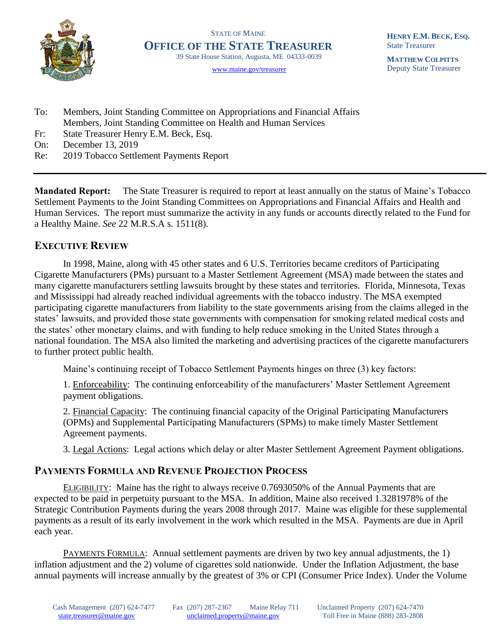

STATE OF MAINE **OFFICE OF THE STATE TREASURER** 39 State House Station, Augusta, ME 04333-0039

[www.maine.gov/treasurer](http://www.maine.gov/treasurer) 

**HENRY E.M. BECK, ESQ.** State Treasurer

**MATTHEW COLPITTS** Deputy State Treasurer

- To: Members, Joint Standing Committee on Appropriations and Financial Affairs Members, Joint Standing Committee on Health and Human Services
- Fr: State Treasurer Henry E.M. Beck, Esq.
- On: December 13, 2019
- Re: 2019 Tobacco Settlement Payments Report

**Mandated Report:** The State Treasurer is required to report at least annually on the status of Maine's Tobacco Settlement Payments to the Joint Standing Committees on Appropriations and Financial Affairs and Health and Human Services. The report must summarize the activity in any funds or accounts directly related to the Fund for a Healthy Maine. *See* 22 M.R.S.A s. 1511(8).

## **EXECUTIVE REVIEW**

In 1998, Maine, along with 45 other states and 6 U.S. Territories became creditors of Participating Cigarette Manufacturers (PMs) pursuant to a Master Settlement Agreement (MSA) made between the states and many cigarette manufacturers settling lawsuits brought by these states and territories. Florida, Minnesota, Texas and Mississippi had already reached individual agreements with the tobacco industry. The MSA exempted participating cigarette manufacturers from liability to the state governments arising from the claims alleged in the states' lawsuits, and provided those state governments with compensation for smoking related medical costs and the states' other monetary claims, and with funding to help reduce smoking in the United States through a national foundation. The MSA also limited the marketing and advertising practices of the cigarette manufacturers to further protect public health.

Maine's continuing receipt of Tobacco Settlement Payments hinges on three (3) key factors:

1. Enforceability: The continuing enforceability of the manufacturers' Master Settlement Agreement payment obligations.

2. Financial Capacity: The continuing financial capacity of the Original Participating Manufacturers (OPMs) and Supplemental Participating Manufacturers (SPMs) to make timely Master Settlement Agreement payments.

3. Legal Actions: Legal actions which delay or alter Master Settlement Agreement Payment obligations.

## **PAYMENTS FORMULA AND REVENUE PROJECTION PROCESS**

ELIGIBILITY: Maine has the right to always receive 0.7693050% of the Annual Payments that are expected to be paid in perpetuity pursuant to the MSA. In addition, Maine also received 1.3281978% of the Strategic Contribution Payments during the years 2008 through 2017. Maine was eligible for these supplemental payments as a result of its early involvement in the work which resulted in the MSA. Payments are due in April each year.

PAYMENTS FORMULA: Annual settlement payments are driven by two key annual adjustments, the 1) inflation adjustment and the 2) volume of cigarettes sold nationwide. Under the Inflation Adjustment, the base annual payments will increase annually by the greatest of 3% or CPI (Consumer Price Index). Under the Volume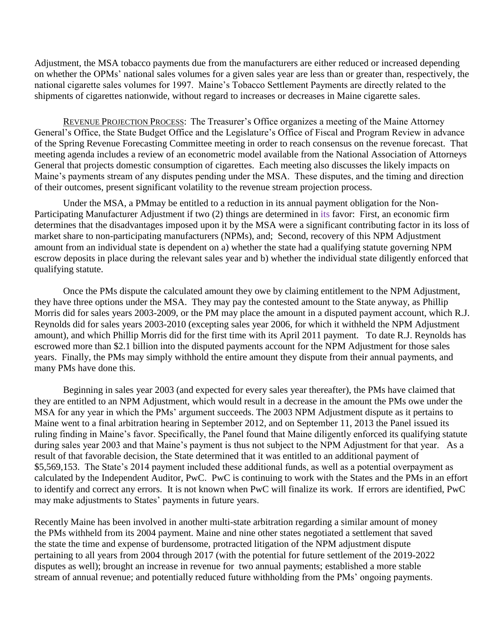Adjustment, the MSA tobacco payments due from the manufacturers are either reduced or increased depending on whether the OPMs' national sales volumes for a given sales year are less than or greater than, respectively, the national cigarette sales volumes for 1997. Maine's Tobacco Settlement Payments are directly related to the shipments of cigarettes nationwide, without regard to increases or decreases in Maine cigarette sales.

REVENUE PROJECTION PROCESS: The Treasurer's Office organizes a meeting of the Maine Attorney General's Office, the State Budget Office and the Legislature's Office of Fiscal and Program Review in advance of the Spring Revenue Forecasting Committee meeting in order to reach consensus on the revenue forecast. That meeting agenda includes a review of an econometric model available from the National Association of Attorneys General that projects domestic consumption of cigarettes. Each meeting also discusses the likely impacts on Maine's payments stream of any disputes pending under the MSA. These disputes, and the timing and direction of their outcomes, present significant volatility to the revenue stream projection process.

Under the MSA, a PMmay be entitled to a reduction in its annual payment obligation for the Non-Participating Manufacturer Adjustment if two (2) things are determined in its favor: First, an economic firm determines that the disadvantages imposed upon it by the MSA were a significant contributing factor in its loss of market share to non-participating manufacturers (NPMs), and; Second, recovery of this NPM Adjustment amount from an individual state is dependent on a) whether the state had a qualifying statute governing NPM escrow deposits in place during the relevant sales year and b) whether the individual state diligently enforced that qualifying statute.

Once the PMs dispute the calculated amount they owe by claiming entitlement to the NPM Adjustment, they have three options under the MSA. They may pay the contested amount to the State anyway, as Phillip Morris did for sales years 2003-2009, or the PM may place the amount in a disputed payment account, which R.J. Reynolds did for sales years 2003-2010 (excepting sales year 2006, for which it withheld the NPM Adjustment amount), and which Phillip Morris did for the first time with its April 2011 payment. To date R.J. Reynolds has escrowed more than \$2.1 billion into the disputed payments account for the NPM Adjustment for those sales years. Finally, the PMs may simply withhold the entire amount they dispute from their annual payments, and many PMs have done this.

Beginning in sales year 2003 (and expected for every sales year thereafter), the PMs have claimed that they are entitled to an NPM Adjustment, which would result in a decrease in the amount the PMs owe under the MSA for any year in which the PMs' argument succeeds. The 2003 NPM Adjustment dispute as it pertains to Maine went to a final arbitration hearing in September 2012, and on September 11, 2013 the Panel issued its ruling finding in Maine's favor. Specifically, the Panel found that Maine diligently enforced its qualifying statute during sales year 2003 and that Maine's payment is thus not subject to the NPM Adjustment for that year. As a result of that favorable decision, the State determined that it was entitled to an additional payment of \$5,569,153. The State's 2014 payment included these additional funds, as well as a potential overpayment as calculated by the Independent Auditor, PwC. PwC is continuing to work with the States and the PMs in an effort to identify and correct any errors. It is not known when PwC will finalize its work. If errors are identified, PwC may make adjustments to States' payments in future years.

Recently Maine has been involved in another multi-state arbitration regarding a similar amount of money the PMs withheld from its 2004 payment. Maine and nine other states negotiated a settlement that saved the state the time and expense of burdensome, protracted litigation of the NPM adjustment dispute pertaining to all years from 2004 through 2017 (with the potential for future settlement of the 2019-2022 disputes as well); brought an increase in revenue for two annual payments; established a more stable stream of annual revenue; and potentially reduced future withholding from the PMs' ongoing payments.